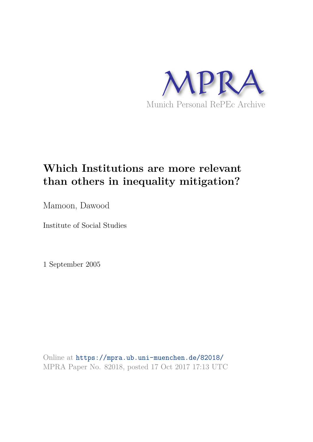

# **Which Institutions are more relevant than others in inequality mitigation?**

Mamoon, Dawood

Institute of Social Studies

1 September 2005

Online at https://mpra.ub.uni-muenchen.de/82018/ MPRA Paper No. 82018, posted 17 Oct 2017 17:13 UTC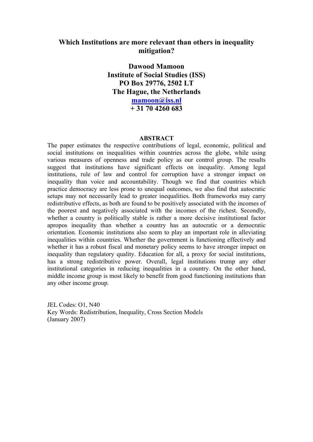## **Which Institutions are more relevant than others in inequality mitigation?**

**Dawood Mamoon Institute of Social Studies (ISS) PO Box 29776, 2502 LT The Hague, the Netherlands mamoon@iss.nl + 31 70 4260 683**

### **ABSTRACT**

The paper estimates the respective contributions of legal, economic, political and social institutions on inequalities within countries across the globe, while using various measures of openness and trade policy as our control group. The results suggest that institutions have significant effects on inequality. Among legal institutions, rule of law and control for corruption have a stronger impact on inequality than voice and accountability. Though we find that countries which practice democracy are less prone to unequal outcomes, we also find that autocratic setups may not necessarily lead to greater inequalities. Both frameworks may carry redistributive effects, as both are found to be positively associated with the incomes of the poorest and negatively associated with the incomes of the richest. Secondly, whether a country is politically stable is rather a more decisive institutional factor apropos inequality than whether a country has an autocratic or a democratic orientation. Economic institutions also seem to play an important role in alleviating inequalities within countries. Whether the government is functioning effectively and whether it has a robust fiscal and monetary policy seems to have stronger impact on inequality than regulatory quality. Education for all, a proxy for social institutions, has a strong redistributive power. Overall, legal institutions trump any other institutional categories in reducing inequalities in a country. On the other hand, middle income group is most likely to benefit from good functioning institutions than any other income group.

JEL Codes: O1, N40 Key Words: Redistribution, Inequality, Cross Section Models (January 2007)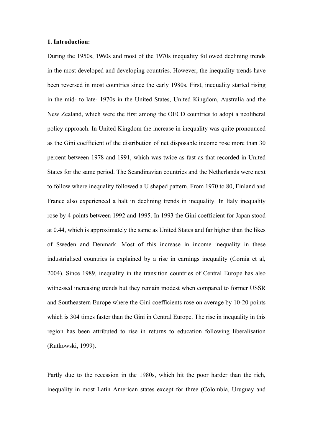#### **1. Introduction:**

During the 1950s, 1960s and most of the 1970s inequality followed declining trends in the most developed and developing countries. However, the inequality trends have been reversed in most countries since the early 1980s. First, inequality started rising in the mid- to late- 1970s in the United States, United Kingdom, Australia and the New Zealand, which were the first among the OECD countries to adopt a neoliberal policy approach. In United Kingdom the increase in inequality was quite pronounced as the Gini coefficient of the distribution of net disposable income rose more than 30 percent between 1978 and 1991, which was twice as fast as that recorded in United States for the same period. The Scandinavian countries and the Netherlands were next to follow where inequality followed a U shaped pattern. From 1970 to 80, Finland and France also experienced a halt in declining trends in inequality. In Italy inequality rose by 4 points between 1992 and 1995. In 1993 the Gini coefficient for Japan stood at 0.44, which is approximately the same as United States and far higher than the likes of Sweden and Denmark. Most of this increase in income inequality in these industrialised countries is explained by a rise in earnings inequality (Cornia et al, 2004). Since 1989, inequality in the transition countries of Central Europe has also witnessed increasing trends but they remain modest when compared to former USSR and Southeastern Europe where the Gini coefficients rose on average by 10-20 points which is 304 times faster than the Gini in Central Europe. The rise in inequality in this region has been attributed to rise in returns to education following liberalisation (Rutkowski, 1999).

Partly due to the recession in the 1980s, which hit the poor harder than the rich, inequality in most Latin American states except for three (Colombia, Uruguay and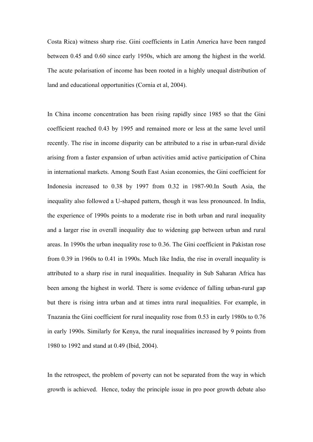Costa Rica) witness sharp rise. Gini coefficients in Latin America have been ranged between 0.45 and 0.60 since early 1950s, which are among the highest in the world. The acute polarisation of income has been rooted in a highly unequal distribution of land and educational opportunities (Cornia et al, 2004).

In China income concentration has been rising rapidly since 1985 so that the Gini coefficient reached 0.43 by 1995 and remained more or less at the same level until recently. The rise in income disparity can be attributed to a rise in urban-rural divide arising from a faster expansion of urban activities amid active participation of China in international markets. Among South East Asian economies, the Gini coefficient for Indonesia increased to 0.38 by 1997 from 0.32 in 1987-90.In South Asia, the inequality also followed a U-shaped pattern, though it was less pronounced. In India, the experience of 1990s points to a moderate rise in both urban and rural inequality and a larger rise in overall inequality due to widening gap between urban and rural areas. In 1990s the urban inequality rose to 0.36. The Gini coefficient in Pakistan rose from 0.39 in 1960s to 0.41 in 1990s. Much like India, the rise in overall inequality is attributed to a sharp rise in rural inequalities. Inequality in Sub Saharan Africa has been among the highest in world. There is some evidence of falling urban-rural gap but there is rising intra urban and at times intra rural inequalities. For example, in Tnazania the Gini coefficient for rural inequality rose from 0.53 in early 1980s to 0.76 in early 1990s. Similarly for Kenya, the rural inequalities increased by 9 points from 1980 to 1992 and stand at 0.49 (Ibid, 2004).

In the retrospect, the problem of poverty can not be separated from the way in which growth is achieved. Hence, today the principle issue in pro poor growth debate also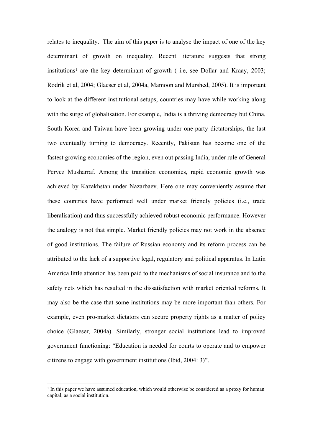relates to inequality. The aim of this paper is to analyse the impact of one of the key determinant of growth on inequality. Recent literature suggests that strong institutions<sup>1</sup> are the key determinant of growth (i.e, see Dollar and Kraay, 2003; Rodrik et al, 2004; Glaeser et al, 2004a, Mamoon and Murshed, 2005). It is important to look at the different institutional setups; countries may have while working along with the surge of globalisation. For example, India is a thriving democracy but China, South Korea and Taiwan have been growing under one-party dictatorships, the last two eventually turning to democracy. Recently, Pakistan has become one of the fastest growing economies of the region, even out passing India, under rule of General Pervez Musharraf. Among the transition economies, rapid economic growth was achieved by Kazakhstan under Nazarbaev. Here one may conveniently assume that these countries have performed well under market friendly policies (i.e., trade liberalisation) and thus successfully achieved robust economic performance. However the analogy is not that simple. Market friendly policies may not work in the absence of good institutions. The failure of Russian economy and its reform process can be attributed to the lack of a supportive legal, regulatory and political apparatus. In Latin America little attention has been paid to the mechanisms of social insurance and to the safety nets which has resulted in the dissatisfaction with market oriented reforms. It may also be the case that some institutions may be more important than others. For example, even pro-market dictators can secure property rights as a matter of policy choice (Glaeser, 2004a). Similarly, stronger social institutions lead to improved government functioning: "Education is needed for courts to operate and to empower citizens to engage with government institutions (Ibid, 2004: 3)".

<sup>&</sup>lt;sup>1</sup> In this paper we have assumed education, which would otherwise be considered as a proxy for human capital, as a social institution.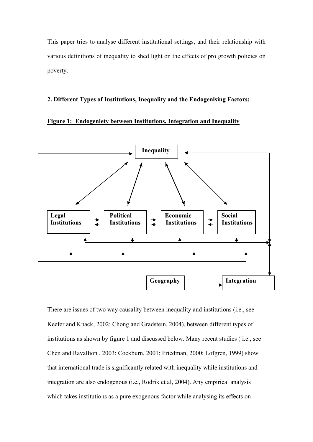This paper tries to analyse different institutional settings, and their relationship with various definitions of inequality to shed light on the effects of pro growth policies on poverty.

#### **2. Different Types of Institutions, Inequality and the Endogenising Factors:**

## **Figure 1: Endogeniety between Institutions, Integration and Inequality**



There are issues of two way causality between inequality and institutions (i.e., see Keefer and Knack, 2002; Chong and Gradstein, 2004), between different types of institutions as shown by figure 1 and discussed below. Many recent studies ( i.e., see Chen and Ravallion , 2003; Cockburn, 2001; Friedman, 2000; Lofgren, 1999) show that international trade is significantly related with inequality while institutions and integration are also endogenous (i.e., Rodrik et al, 2004). Any empirical analysis which takes institutions as a pure exogenous factor while analysing its effects on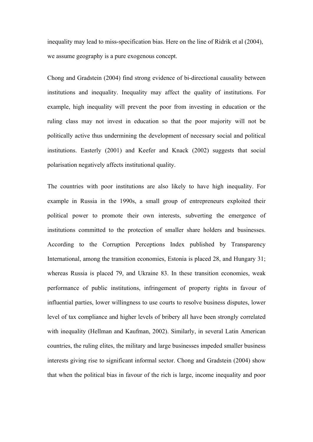inequality may lead to miss-specification bias. Here on the line of Ridrik et al (2004), we assume geography is a pure exogenous concept.

Chong and Gradstein (2004) find strong evidence of bi-directional causality between institutions and inequality. Inequality may affect the quality of institutions. For example, high inequality will prevent the poor from investing in education or the ruling class may not invest in education so that the poor majority will not be politically active thus undermining the development of necessary social and political institutions. Easterly (2001) and Keefer and Knack (2002) suggests that social polarisation negatively affects institutional quality.

The countries with poor institutions are also likely to have high inequality. For example in Russia in the 1990s, a small group of entrepreneurs exploited their political power to promote their own interests, subverting the emergence of institutions committed to the protection of smaller share holders and businesses. According to the Corruption Perceptions Index published by Transparency International, among the transition economies, Estonia is placed 28, and Hungary 31; whereas Russia is placed 79, and Ukraine 83. In these transition economies, weak performance of public institutions, infringement of property rights in favour of influential parties, lower willingness to use courts to resolve business disputes, lower level of tax compliance and higher levels of bribery all have been strongly correlated with inequality (Hellman and Kaufman, 2002). Similarly, in several Latin American countries, the ruling elites, the military and large businesses impeded smaller business interests giving rise to significant informal sector. Chong and Gradstein (2004) show that when the political bias in favour of the rich is large, income inequality and poor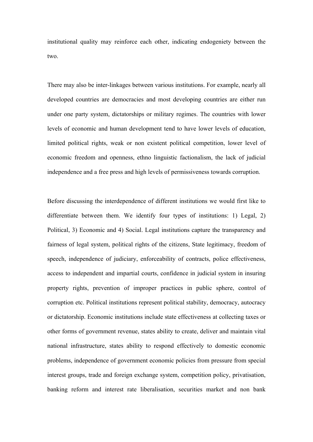institutional quality may reinforce each other, indicating endogeniety between the two.

There may also be inter-linkages between various institutions. For example, nearly all developed countries are democracies and most developing countries are either run under one party system, dictatorships or military regimes. The countries with lower levels of economic and human development tend to have lower levels of education, limited political rights, weak or non existent political competition, lower level of economic freedom and openness, ethno linguistic factionalism, the lack of judicial independence and a free press and high levels of permissiveness towards corruption.

Before discussing the interdependence of different institutions we would first like to differentiate between them. We identify four types of institutions: 1) Legal, 2) Political, 3) Economic and 4) Social. Legal institutions capture the transparency and fairness of legal system, political rights of the citizens, State legitimacy, freedom of speech, independence of judiciary, enforceability of contracts, police effectiveness, access to independent and impartial courts, confidence in judicial system in insuring property rights, prevention of improper practices in public sphere, control of corruption etc. Political institutions represent political stability, democracy, autocracy or dictatorship. Economic institutions include state effectiveness at collecting taxes or other forms of government revenue, states ability to create, deliver and maintain vital national infrastructure, states ability to respond effectively to domestic economic problems, independence of government economic policies from pressure from special interest groups, trade and foreign exchange system, competition policy, privatisation, banking reform and interest rate liberalisation, securities market and non bank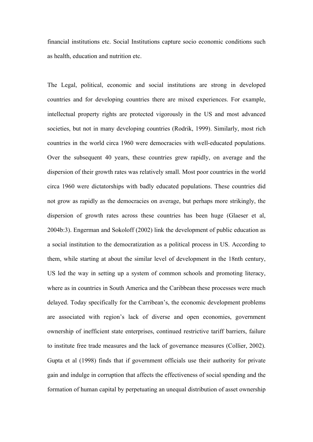financial institutions etc. Social Institutions capture socio economic conditions such as health, education and nutrition etc.

The Legal, political, economic and social institutions are strong in developed countries and for developing countries there are mixed experiences. For example, intellectual property rights are protected vigorously in the US and most advanced societies, but not in many developing countries (Rodrik, 1999). Similarly, most rich countries in the world circa 1960 were democracies with well-educated populations. Over the subsequent 40 years, these countries grew rapidly, on average and the dispersion of their growth rates was relatively small. Most poor countries in the world circa 1960 were dictatorships with badly educated populations. These countries did not grow as rapidly as the democracies on average, but perhaps more strikingly, the dispersion of growth rates across these countries has been huge (Glaeser et al, 2004b:3). Engerman and Sokoloff (2002) link the development of public education as a social institution to the democratization as a political process in US. According to them, while starting at about the similar level of development in the 18nth century, US led the way in setting up a system of common schools and promoting literacy, where as in countries in South America and the Caribbean these processes were much delayed. Today specifically for the Carribean's, the economic development problems are associated with region's lack of diverse and open economies, government ownership of inefficient state enterprises, continued restrictive tariff barriers, failure to institute free trade measures and the lack of governance measures (Collier, 2002). Gupta et al (1998) finds that if government officials use their authority for private gain and indulge in corruption that affects the effectiveness of social spending and the formation of human capital by perpetuating an unequal distribution of asset ownership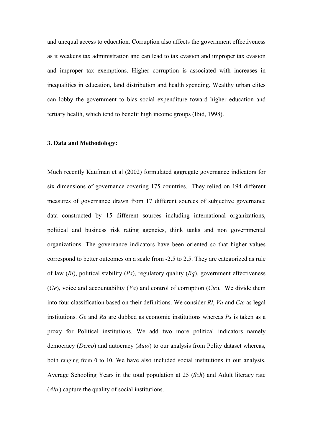and unequal access to education. Corruption also affects the government effectiveness as it weakens tax administration and can lead to tax evasion and improper tax evasion and improper tax exemptions. Higher corruption is associated with increases in inequalities in education, land distribution and health spending. Wealthy urban elites can lobby the government to bias social expenditure toward higher education and tertiary health, which tend to benefit high income groups (Ibid, 1998).

#### **3. Data and Methodology:**

Much recently Kaufman et al (2002) formulated aggregate governance indicators for six dimensions of governance covering 175 countries. They relied on 194 different measures of governance drawn from 17 different sources of subjective governance data constructed by 15 different sources including international organizations, political and business risk rating agencies, think tanks and non governmental organizations. The governance indicators have been oriented so that higher values correspond to better outcomes on a scale from -2.5 to 2.5. They are categorized as rule of law (*Rl*), political stability (*Ps*), regulatory quality (*Rq*), government effectiveness (*Ge*), voice and accountability (*Va*) and control of corruption (*Ctc*). We divide them into four classification based on their definitions. We consider *Rl*, *Va* and *Ctc* as legal institutions. *Ge* and *Rq* are dubbed as economic institutions whereas *Ps* is taken as a proxy for Political institutions. We add two more political indicators namely democracy (*Demo*) and autocracy (*Auto*) to our analysis from Polity dataset whereas, both ranging from 0 to 10. We have also included social institutions in our analysis. Average Schooling Years in the total population at 25 (*Sch*) and Adult literacy rate (*Altr*) capture the quality of social institutions.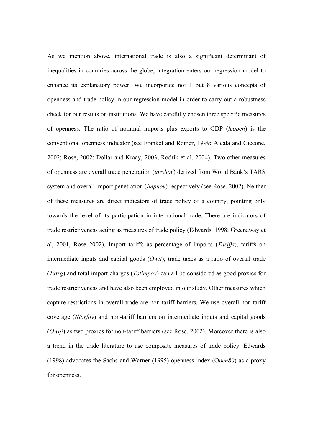As we mention above, international trade is also a significant determinant of inequalities in countries across the globe, integration enters our regression model to enhance its explanatory power. We incorporate not 1 but 8 various concepts of openness and trade policy in our regression model in order to carry out a robustness check for our results on institutions. We have carefully chosen three specific measures of openness. The ratio of nominal imports plus exports to GDP (*lcopen*) is the conventional openness indicator (see Frankel and Romer, 1999; Alcala and Ciccone, 2002; Rose, 2002; Dollar and Kraay, 2003; Rodrik et al, 2004). Two other measures of openness are overall trade penetration (*tarshov*) derived from World Bank's TARS system and overall import penetration (*Impnov*) respectively (see Rose, 2002). Neither of these measures are direct indicators of trade policy of a country, pointing only towards the level of its participation in international trade. There are indicators of trade restrictiveness acting as measures of trade policy (Edwards, 1998; Greenaway et al, 2001, Rose 2002). Import tariffs as percentage of imports (*Tariffs*), tariffs on intermediate inputs and capital goods (*Owti*), trade taxes as a ratio of overall trade (*Txtrg*) and total import charges (*Totimpov*) can all be considered as good proxies for trade restrictiveness and have also been employed in our study. Other measures which capture restrictions in overall trade are non-tariff barriers. We use overall non-tariff coverage (*Ntarfov*) and non-tariff barriers on intermediate inputs and capital goods (*Owqi*) as two proxies for non-tariff barriers (see Rose, 2002). Moreover there is also a trend in the trade literature to use composite measures of trade policy. Edwards (1998) advocates the Sachs and Warner (1995) openness index (O*pen80*) as a proxy for openness.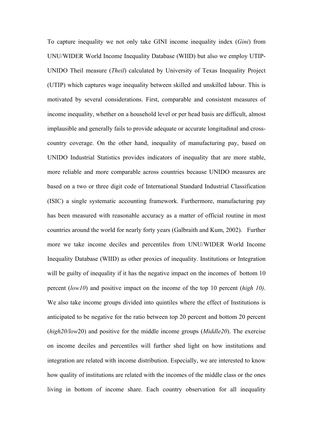To capture inequality we not only take GINI income inequality index (*Gini*) from UNU/WIDER World Income Inequality Database (WIID) but also we employ UTIP-UNIDO Theil measure (*Theil*) calculated by University of Texas Inequality Project (UTIP) which captures wage inequality between skilled and unskilled labour. This is motivated by several considerations. First, comparable and consistent measures of income inequality, whether on a household level or per head basis are difficult, almost implausible and generally fails to provide adequate or accurate longitudinal and crosscountry coverage. On the other hand, inequality of manufacturing pay, based on UNIDO Industrial Statistics provides indicators of inequality that are more stable, more reliable and more comparable across countries because UNIDO measures are based on a two or three digit code of International Standard Industrial Classification (ISIC) a single systematic accounting framework. Furthermore, manufacturing pay has been measured with reasonable accuracy as a matter of official routine in most countries around the world for nearly forty years (Galbraith and Kum, 2002). Further more we take income deciles and percentiles from UNU/WIDER World Income Inequality Database (WIID) as other proxies of inequality. Institutions or Integration will be guilty of inequality if it has the negative impact on the incomes of bottom 10 percent (*low10*) and positive impact on the income of the top 10 percent (*high 10)*. We also take income groups divided into quintiles where the effect of Institutions is anticipated to be negative for the ratio between top 20 percent and bottom 20 percent (*high20/low*20) and positive for the middle income groups (*Middle20*). The exercise on income deciles and percentiles will further shed light on how institutions and integration are related with income distribution. Especially, we are interested to know how quality of institutions are related with the incomes of the middle class or the ones living in bottom of income share. Each country observation for all inequality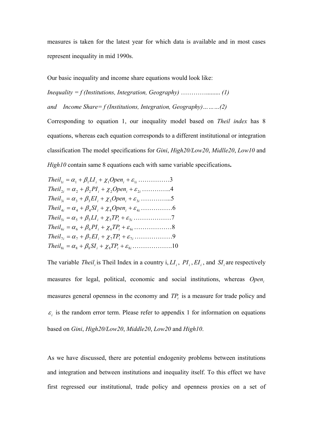measures is taken for the latest year for which data is available and in most cases represent inequality in mid 1990s.

Our basic inequality and income share equations would look like:

*Inequality = f (Institutions, Integration, Geography)* …………......... *(1) and Income Share= f (Institutions, Integration, Geography)………(2)*

Corresponding to equation 1, our inequality model based on *Theil index* has 8 equations, whereas each equation corresponds to a different institutional or integration classification The model specifications for *Gini*, *High20/Low20*, *Midlle20*, *Low10* and *High10* contain same 8 equations each with same variable specifications**.** 

| $Theil_{1i} = \alpha_1 + \beta_1 LI_i + \chi_1 Open_i + \varepsilon_{1i} \dots \dots \dots \dots 3$      |  |
|----------------------------------------------------------------------------------------------------------|--|
| $Theil_{2i} = \alpha_2 + \beta_2 Pl_i + \chi_2 Open_i + \varepsilon_{2i} \dots \dots \dots \dots 4$      |  |
| $Theil_{3i} = \alpha_3 + \beta_3 EI_i + \chi_3 Open_i + \varepsilon_{3i} \dots \dots \dots \dots 5$      |  |
| $Theil_{4i} = \alpha_4 + \beta_4 SI_i + \chi_4 Open_i + \varepsilon_{4i} \dots \dots \dots \dots 6$      |  |
| $Theil_{5i} = \alpha_5 + \beta_5 LI_i + \chi_5 TP_i + \varepsilon_{5i} \dots \dots \dots \dots \dots 7$  |  |
| $Theil_{6i} = \alpha_6 + \beta_6PI_i + \chi_6TP_i + \varepsilon_{6i} \dots \dots \dots \dots 8$          |  |
| $Theil_{7i} = \alpha_7 + \beta_7 EI_i + \chi_7 TP_i + \varepsilon_{7i} \dots \dots \dots \dots \dots$    |  |
| $Theil_{8i} = \alpha_8 + \beta_8 SI_i + \chi_8 TP_i + \varepsilon_{8i} \dots \dots \dots \dots \dots 10$ |  |

The variable *Theil*<sub>*i*</sub> is Theil Index in a country i,  $LI_i$ ,  $PI_i$ ,  $EI_i$ , and  $SI_i$  are respectively measures for legal, political, economic and social institutions, whereas *Open<sup>i</sup>* measures general openness in the economy and  $TP<sub>i</sub>$  is a measure for trade policy and  $\varepsilon_i$  is the random error term. Please refer to appendix 1 for information on equations based on *Gini*, *High20/Low20*, *Middle20*, *Low20* and *High10*.

As we have discussed, there are potential endogenity problems between institutions and integration and between institutions and inequality itself. To this effect we have first regressed our institutional, trade policy and openness proxies on a set of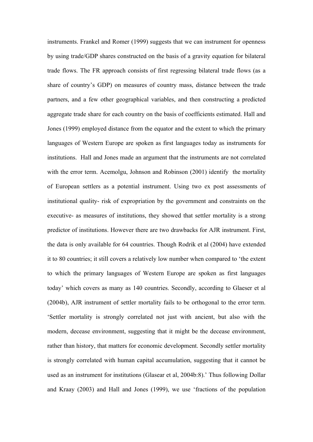instruments. Frankel and Romer (1999) suggests that we can instrument for openness by using trade/GDP shares constructed on the basis of a gravity equation for bilateral trade flows. The FR approach consists of first regressing bilateral trade flows (as a share of country's GDP) on measures of country mass, distance between the trade partners, and a few other geographical variables, and then constructing a predicted aggregate trade share for each country on the basis of coefficients estimated. Hall and Jones (1999) employed distance from the equator and the extent to which the primary languages of Western Europe are spoken as first languages today as instruments for institutions. Hall and Jones made an argument that the instruments are not correlated with the error term. Acemolgu, Johnson and Robinson (2001) identify the mortality of European settlers as a potential instrument. Using two ex post assessments of institutional quality- risk of expropriation by the government and constraints on the executive- as measures of institutions, they showed that settler mortality is a strong predictor of institutions. However there are two drawbacks for AJR instrument. First, the data is only available for 64 countries. Though Rodrik et al (2004) have extended it to 80 countries; it still covers a relatively low number when compared to 'the extent to which the primary languages of Western Europe are spoken as first languages today' which covers as many as 140 countries. Secondly, according to Glaeser et al (2004b), AJR instrument of settler mortality fails to be orthogonal to the error term. 'Settler mortality is strongly correlated not just with ancient, but also with the modern, decease environment, suggesting that it might be the decease environment, rather than history, that matters for economic development. Secondly settler mortality is strongly correlated with human capital accumulation, suggesting that it cannot be used as an instrument for institutions (Glasear et al, 2004b:8).' Thus following Dollar and Kraay (2003) and Hall and Jones (1999), we use 'fractions of the population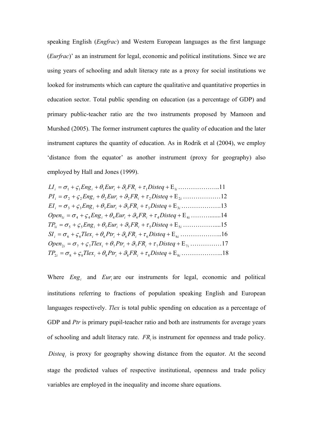speaking English (*Engfrac*) and Western European languages as the first language (*Eurfrac*)' as an instrument for legal, economic and political institutions. Since we are using years of schooling and adult literacy rate as a proxy for social institutions we looked for instruments which can capture the qualitative and quantitative properties in education sector. Total public spending on education (as a percentage of GDP) and primary public-teacher ratio are the two instruments proposed by Mamoon and Murshed (2005). The former instrument captures the quality of education and the later instrument captures the quantity of education. As in Rodrik et al (2004), we employ 'distance from the equator' as another instrument (proxy for geography) also employed by Hall and Jones (1999).

*LI<sup>i</sup>* <sup>1</sup> <sup>1</sup>*Eng<sup>i</sup>* 1*Eur<sup>i</sup>* 1*FR<sup>i</sup>* <sup>1</sup>*Disteq* 1*i*………………..11 *PI<sup>i</sup>* <sup>2</sup> <sup>2</sup>*Eng<sup>i</sup>* <sup>2</sup>*Eur<sup>i</sup>* 2*FR<sup>i</sup>* <sup>2</sup>*Disteq* 2*<sup>i</sup>* ………………12 *EI<sup>i</sup>* <sup>3</sup> <sup>3</sup>*Eng<sup>i</sup>* <sup>3</sup>*Eur<sup>i</sup>* 3*FR<sup>i</sup>* <sup>3</sup>*Disteq* 3*<sup>i</sup>* ……………….13 *Open*1*<sup>i</sup>* <sup>4</sup> <sup>4</sup>*Eng<sup>i</sup>* <sup>4</sup>*Eur<sup>i</sup>* 4*FR<sup>i</sup>* <sup>4</sup>*Disteq* 4*i*……….......14 *TP*1*<sup>i</sup>* <sup>5</sup> <sup>5</sup>*Eng<sup>i</sup>* <sup>5</sup>*Eur<sup>i</sup>* 5*FR<sup>i</sup>* <sup>5</sup>*Disteq* 5*<sup>i</sup>* ……………....15 *SI<sup>i</sup>* <sup>6</sup> <sup>6</sup>*Tlex<sup>i</sup>* <sup>6</sup>*Ptr<sup>i</sup>* 6*FR<sup>i</sup>* <sup>6</sup>*Disteq* 6*<sup>i</sup>* ………………..16 *Open*2*<sup>i</sup>* <sup>7</sup> <sup>7</sup>*Tlex<sup>i</sup>* <sup>7</sup>*Ptr<sup>i</sup>* 7*FR<sup>i</sup>* <sup>7</sup>*Disteq* 7*<sup>i</sup>* ……………17 *TP*2*<sup>i</sup>* <sup>8</sup> <sup>8</sup>*Tlex<sup>i</sup>* <sup>8</sup>*Ptr<sup>i</sup>* 8*FR<sup>i</sup>* <sup>8</sup>*Disteq* 8*<sup>i</sup>* ………………..18

Where  $Eng_i$  and  $Eur_i$  are our instruments for legal, economic and political institutions referring to fractions of population speaking English and European languages respectively. *Tlex* is total public spending on education as a percentage of GDP and *Ptr* is primary pupil-teacher ratio and both are instruments for average years of schooling and adult literacy rate. *FR* is instrument for openness and trade policy. is proxy for geography showing distance from the equator. At the second *Disteq<sup>i</sup>* stage the predicted values of respective institutional, openness and trade policy variables are employed in the inequality and income share equations.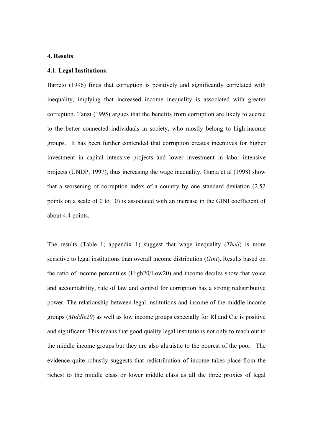#### **4. Results**:

#### **4.1. Legal Institutions**:

Barreto (1996) finds that corruption is positively and significantly correlated with inequality, implying that increased income inequality is associated with greater corruption. Tanzi (1995) argues that the benefits from corruption are likely to accrue to the better connected individuals in society, who mostly belong to high-income groups. It has been further contended that corruption creates incentives for higher investment in capital intensive projects and lower investment in labor intensive projects (UNDP, 1997), thus increasing the wage inequality. Gupta et al (1998) show that a worsening of corruption index of a country by one standard deviation (2.52 points on a scale of 0 to 10) is associated with an increase in the GINI coefficient of about 4.4 points.

The results (Table 1; appendix 1) suggest that wage inequality (*Theil*) is more sensitive to legal institutions than overall income distribution (*Gini*). Results based on the ratio of income percentiles (High20/Low20) and income deciles show that voice and accountability, rule of law and control for corruption has a strong redistributive power. The relationship between legal institutions and income of the middle income groups (*Middle20*) as well as low income groups especially for Rl and Ctc is positive and significant. This means that good quality legal institutions not only to reach out to the middle income groups but they are also altruistic to the poorest of the poor. The evidence quite robustly suggests that redistribution of income takes place from the richest to the middle class or lower middle class as all the three proxies of legal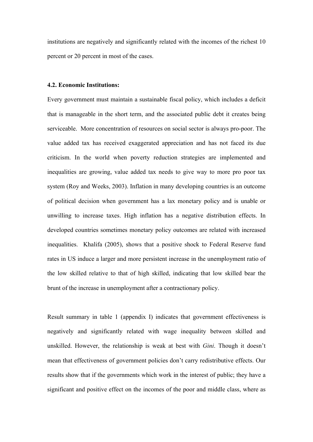institutions are negatively and significantly related with the incomes of the richest 10 percent or 20 percent in most of the cases.

#### **4.2. Economic Institutions:**

Every government must maintain a sustainable fiscal policy, which includes a deficit that is manageable in the short term, and the associated public debt it creates being serviceable. More concentration of resources on social sector is always pro-poor. The value added tax has received exaggerated appreciation and has not faced its due criticism. In the world when poverty reduction strategies are implemented and inequalities are growing, value added tax needs to give way to more pro poor tax system (Roy and Weeks, 2003). Inflation in many developing countries is an outcome of political decision when government has a lax monetary policy and is unable or unwilling to increase taxes. High inflation has a negative distribution effects. In developed countries sometimes monetary policy outcomes are related with increased inequalities. Khalifa (2005), shows that a positive shock to Federal Reserve fund rates in US induce a larger and more persistent increase in the unemployment ratio of the low skilled relative to that of high skilled, indicating that low skilled bear the brunt of the increase in unemployment after a contractionary policy.

Result summary in table 1 (appendix I) indicates that government effectiveness is negatively and significantly related with wage inequality between skilled and unskilled. However, the relationship is weak at best with *Gini*. Though it doesn't mean that effectiveness of government policies don't carry redistributive effects. Our results show that if the governments which work in the interest of public; they have a significant and positive effect on the incomes of the poor and middle class, where as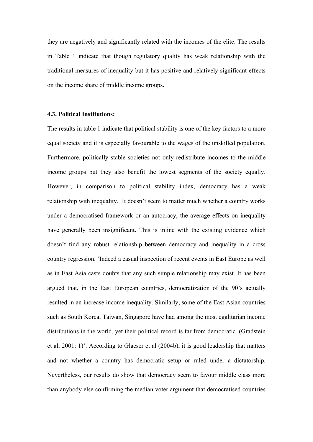they are negatively and significantly related with the incomes of the elite. The results in Table 1 indicate that though regulatory quality has weak relationship with the traditional measures of inequality but it has positive and relatively significant effects on the income share of middle income groups.

## **4.3. Political Institutions:**

The results in table 1 indicate that political stability is one of the key factors to a more equal society and it is especially favourable to the wages of the unskilled population. Furthermore, politically stable societies not only redistribute incomes to the middle income groups but they also benefit the lowest segments of the society equally. However, in comparison to political stability index, democracy has a weak relationship with inequality. It doesn't seem to matter much whether a country works under a democratised framework or an autocracy, the average effects on inequality have generally been insignificant. This is inline with the existing evidence which doesn't find any robust relationship between democracy and inequality in a cross country regression. 'Indeed a casual inspection of recent events in East Europe as well as in East Asia casts doubts that any such simple relationship may exist. It has been argued that, in the East European countries, democratization of the 90's actually resulted in an increase income inequality. Similarly, some of the East Asian countries such as South Korea, Taiwan, Singapore have had among the most egalitarian income distributions in the world, yet their political record is far from democratic. (Gradstein et al, 2001: 1)'. According to Glaeser et al (2004b), it is good leadership that matters and not whether a country has democratic setup or ruled under a dictatorship. Nevertheless, our results do show that democracy seem to favour middle class more than anybody else confirming the median voter argument that democratised countries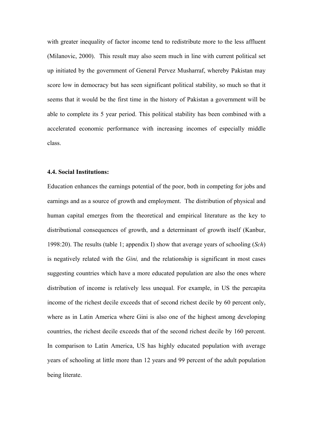with greater inequality of factor income tend to redistribute more to the less affluent (Milanovic, 2000). This result may also seem much in line with current political set up initiated by the government of General Pervez Musharraf, whereby Pakistan may score low in democracy but has seen significant political stability, so much so that it seems that it would be the first time in the history of Pakistan a government will be able to complete its 5 year period. This political stability has been combined with a accelerated economic performance with increasing incomes of especially middle class.

#### **4.4. Social Institutions:**

Education enhances the earnings potential of the poor, both in competing for jobs and earnings and as a source of growth and employment. The distribution of physical and human capital emerges from the theoretical and empirical literature as the key to distributional consequences of growth, and a determinant of growth itself (Kanbur, 1998:20). The results (table 1; appendix I) show that average years of schooling (*Sch*) is negatively related with the *Gini,* and the relationship is significant in most cases suggesting countries which have a more educated population are also the ones where distribution of income is relatively less unequal. For example, in US the percapita income of the richest decile exceeds that of second richest decile by 60 percent only, where as in Latin America where Gini is also one of the highest among developing countries, the richest decile exceeds that of the second richest decile by 160 percent. In comparison to Latin America, US has highly educated population with average years of schooling at little more than 12 years and 99 percent of the adult population being literate.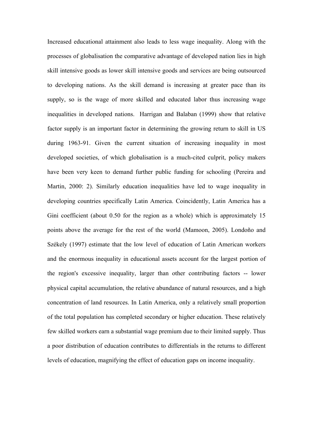Increased educational attainment also leads to less wage inequality. Along with the processes of globalisation the comparative advantage of developed nation lies in high skill intensive goods as lower skill intensive goods and services are being outsourced to developing nations. As the skill demand is increasing at greater pace than its supply, so is the wage of more skilled and educated labor thus increasing wage inequalities in developed nations. Harrigan and Balaban (1999) show that relative factor supply is an important factor in determining the growing return to skill in US during 1963-91. Given the current situation of increasing inequality in most developed societies, of which globalisation is a much-cited culprit, policy makers have been very keen to demand further public funding for schooling (Pereira and Martin, 2000: 2). Similarly education inequalities have led to wage inequality in developing countries specifically Latin America. Coincidently, Latin America has a Gini coefficient (about 0.50 for the region as a whole) which is approximately 15 points above the average for the rest of the world (Mamoon, 2005). Londoño and Székely (1997) estimate that the low level of education of Latin American workers and the enormous inequality in educational assets account for the largest portion of the region's excessive inequality, larger than other contributing factors -- lower physical capital accumulation, the relative abundance of natural resources, and a high concentration of land resources. In Latin America, only a relatively small proportion of the total population has completed secondary or higher education. These relatively few skilled workers earn a substantial wage premium due to their limited supply. Thus a poor distribution of education contributes to differentials in the returns to different levels of education, magnifying the effect of education gaps on income inequality.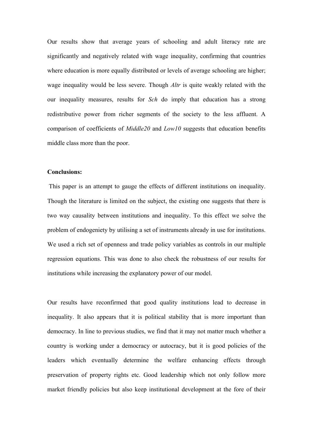Our results show that average years of schooling and adult literacy rate are significantly and negatively related with wage inequality, confirming that countries where education is more equally distributed or levels of average schooling are higher; wage inequality would be less severe. Though *Altr* is quite weakly related with the our inequality measures, results for *Sch* do imply that education has a strong redistributive power from richer segments of the society to the less affluent. A comparison of coefficients of *Middle20* and *Low10* suggests that education benefits middle class more than the poor.

## **Conclusions:**

 This paper is an attempt to gauge the effects of different institutions on inequality. Though the literature is limited on the subject, the existing one suggests that there is two way causality between institutions and inequality. To this effect we solve the problem of endogeniety by utilising a set of instruments already in use for institutions. We used a rich set of openness and trade policy variables as controls in our multiple regression equations. This was done to also check the robustness of our results for institutions while increasing the explanatory power of our model.

Our results have reconfirmed that good quality institutions lead to decrease in inequality. It also appears that it is political stability that is more important than democracy. In line to previous studies, we find that it may not matter much whether a country is working under a democracy or autocracy, but it is good policies of the leaders which eventually determine the welfare enhancing effects through preservation of property rights etc. Good leadership which not only follow more market friendly policies but also keep institutional development at the fore of their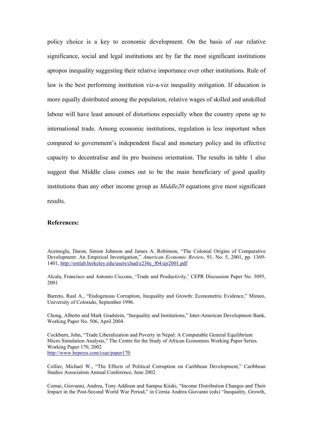policy choice is a key to economic development. On the basis of our relative significance, social and legal institutions are by far the most significant institutions apropos inequality suggesting their relative importance over other institutions. Rule of law is the best performing institution viz-a-viz inequality mitigation. If education is more equally distributed among the population, relative wages of skilled and unskilled labour will have least amount of distortions especially when the country opens up to international trade. Among economic institutions, regulation is less important when compared to government's independent fiscal and monetary policy and its effective capacity to decentralise and its pro business orientation. The results in table 1 also suggest that Middle class comes out to be the main beneficiary of good quality institutions than any other income group as *Middle20* equations give most significant results.

#### **References:**

Acemoglu, Daron, Simon Johnson and James A. Robinson, "The Colonial Origins of Comparative Development: An Empirical Investigation," *American Economic Review*, 91, No. 5, 2001, pp. 1369- 1401, http://emlab.berkeley.edu/users/chad/e236c\_f04/ajr2001.pdf

Alcala, Francisco and Antonio Ciccone, 'Trade and Productivity,' CEPR Discussion Paper No. 3095, 2001

Barreto, Raul A., "Endogenous Corruption, Inequality and Growth: Econometric Evidence," Mimeo, University of Colorado, September 1996.

Chong, Alberto and Mark Gradstein, "Inequality and Institutions," Inter-American Development Bank, Working Paper No. 506, April 2004.

Cockburn, John, "Trade Liberalization and Poverty in Nepal: A Computable General Equilibrium Micro Simulation Analysis," The Centre for the Study of African Economies Working Paper Series. Working Paper 170, 2002 http://www.bepress.com/csae/paper170

Collier, Michael W., "The Effects of Political Corruption on Caribbean Development," Caribbean Studies Association Annual Conference, June 2002.

Cornai, Giovanni, Andrea, Tony Addison and Sampsa Kiiski, "Income Distribution Changes and Their Impact in the Post-Second World War Period," in Cornia Andrea Giovanni (eds) "Inequality, Growth,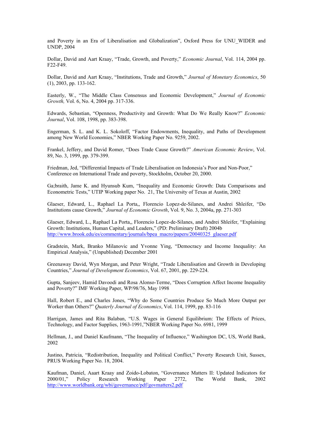and Poverty in an Era of Liberalisation and Globalization", Oxford Press for UNU\_WIDER and UNDP, 2004

Dollar, David and Aart Kraay, "Trade, Growth, and Poverty," *Economic Journal*, Vol. 114, 2004 pp. F22-F49.

Dollar, David and Aart Kraay, "Institutions, Trade and Growth," *Journal of Monetary Economics*, 50 (1), 2003, pp. 133-162.

Easterly, W., "The Middle Class Consensus and Economic Development," *Journal of Economic Growth,* Vol. 6, No. 4, 2004 pp. 317-336.

Edwards, Sebastian, "Openness, Productivity and Growth: What Do We Really Know?" *Economic Journal*, Vol. 108, 1998, pp. 383-398.

Engerman, S. L. and K. L. Sokoloff, "Factor Endowments, Inequality, and Paths of Development among New World Economies," NBER Working Paper No. 9259, 2002.

Frankel, Jeffery, and David Romer, "Does Trade Cause Growth?" *American Economic Review*, Vol. 89, No. 3, 1999, pp. 379-399.

Friedman, Jed, "Differential Impacts of Trade Liberalisation on Indonesia's Poor and Non-Poor," Conference on International Trade and poverty, Stockholm, October 20, 2000.

Ga;braith, Jame K. and Hyunsub Kum, "Inequality and Economic Growth: Data Comparisons and Econometric Tests," UTIP Working paper No. 21, The University of Texas at Austin, 2002

Glaeser, Edward, L., Raphael La Porta,, Florencio Lopez-de-Silanes, and Andrei Shleifer, "Do Institutions cause Growth," *Journal of Economic Growth*, Vol. 9, No. 3, 2004a, pp. 271-303

Glaeser, Edward, L., Raphael La Porta,, Florencio Lopez-de-Silanes, and Andrei Shleifer, "Explaining Growth: Institutions, Human Capital, and Leaders," (PD: Preliminary Draft) 2004b http://www.brook.edu/es/commentary/journals/bpea\_macro/papers/20040325\_glaeser.pdf

Gradstein, Mark, Branko Milanovic and Yvonne Ying, "Democracy and Income Inequality: An Empirical Analysis," (Unpublished) December 2001

Greenaway David, Wyn Morgan, and Peter Wright, "Trade Liberalisation and Growth in Developing Countries," *Journal of Development Economics*, Vol. 67, 2001, pp. 229-224.

Gupta, Sanjeev, Hamid Davoodi and Rosa Alonso-Terme, "Does Corruption Affect Income Inequality and Poverty?" IMF Working Paper, WP/98/76, May 1998

Hall, Robert E., and Charles Jones, "Why do Some Countries Produce So Much More Output per Worker than Others?" *Quaterly Journal of Economics*, Vol. 114, 1999, pp. 83-116

Harrigan, James and Rita Balaban, "U.S. Wages in General Equilibrium: The Effects of Prices, Technology, and Factor Supplies, 1963-1991,"NBER Working Paper No. 6981, 1999

Hellman, J., and Daniel Kaufmann, "The Inequality of Influence," Washington DC, US, World Bank, 2002

Justino, Patricia, "Redistribution, Inequality and Political Conflict," Poverty Research Unit, Sussex, PRUS Working Paper No. 18, 2004.

Kaufman, Daniel, Aaart Kraay and Zoido-Lobaton, "Governance Matters II: Updated Indicators for 2000/01," Policy Research Working Paper 2772, The World Bank, 2002 http://www.worldbank.org/wbi/governance/pdf/govmatters2.pdf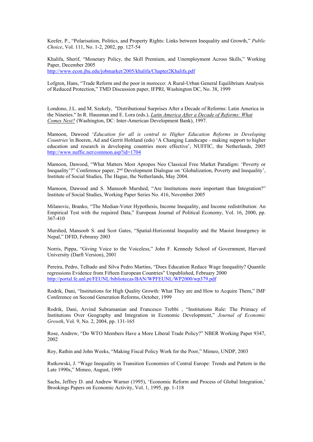Keefer, P., "Polarisation, Politics, and Property Rights: Links between Inequality and Growth," *Public Choice*, Vol. 111, No. 1-2, 2002, pp. 127-54

Khalifa, Sherif, "Monetary Policy, the Skill Premium, and Unemployment Across Skills," Working Paper, December 2005 http://www.econ.jhu.edu/jobmarket/2005/khalifa/Chapter2Khalifa.pdf

Lofgren, Hans, "Trade Reform and the poor in morocco: A Rural-Urban General Equilibrium Analysis of Reduced Protection," TMD Discussion paper, IFPRI, Washington DC, No. 38, 1999

Londono, J.L. and M. Szekely, "Distributional Surprises After a Decade of Reforms: Latin America in the Nineties." In R. Hausman and E. Lora (eds.), *Latin America After a Decade of Reforms: What Comes Next?* (Washington, DC: Inter-American Development Bank), 1997.

Mamoon, Dawood '*Education for all is central to Higher Education Reforms in Developing Countries'*in Boeren, Ad and Gerrit Holtland (eds) 'A Changing Landscape - making support to higher education and research in developing countries more effective', NUFFIC, the Netherlands, 2005 http://www.nuffic.net/common.asp?id=1704

Mamoon, Dawood, "What Matters Most Apropos Neo Classical Free Market Paradigm: 'Poverty or Inequality'?" Conference paper, 2nd Development Dialogue on 'Globalization, Poverty and Inequality', Institute of Social Studies, The Hague, the Netherlands, May 2004.

Mamoon, Dawood and S. Mansoob Murshed, "Are Institutions more important than Integration?" Institute of Social Studies, Working Paper Series No. 416, November 2005

Milanovic, Branko, "The Median-Voter Hypothesis, Income Inequality, and Income redistribution: An Empirical Test with the required Data," European Journal of Political Economy, Vol. 16, 2000, pp. 367-410

Murshed, Mansoob S. and Scot Gates, "Spatial-Horizontal Inequality and the Maoist Insurgency in Nepal," DFID, Februray 2003

Norris, Pippa, "Giving Voice to the Voiceless," John F. Kennedy School of Government, Harvard University (Darft Version), 2001

Pereira, Pedro, Telhado and Silva Pedro Martins, "Does Education Reduce Wage Inequality? Quantile regressions Evidence from Fifteen European Countries" Unpublished, February 2000 http://portal.fe.unl.pt/FEUNL/bibliotecas/BAN/WPFEUNL/WP2000/wp379.pdf

Rodrik, Dani, "Institutions for High Quality Growth: What They are and How to Acquire Them," IMF Conference on Second Generation Reforms, October, 1999

Rodrik, Dani, Arvind Subramanian and Francesco Trebbi , "Institutions Rule: The Primacy of Institutions Over Geography and Integration in Economic Development," *Journal of Economic Growth*, Vol. 9, No. 2, 2004, pp. 131-165

Rose, Andrew, "Do WTO Members Have a More Liberal Trade Policy?" NBER Working Paper 9347, 2002

Roy, Rathin and John Weeks, "Making Fiscal Policy Work for the Poor," Mimeo, UNDP, 2003

Rutkowski, J. "Wage Inequality in Transition Economies of Central Europe: Trends and Pattern in the Late 1990s," Mimeo, August, 1999

Sachs, Jeffrey D. and Andrew Warner (1995), 'Economic Reform and Process of Global Integration,' Brookings Papers on Economic Activity, Vol. 1, 1995, pp. 1-118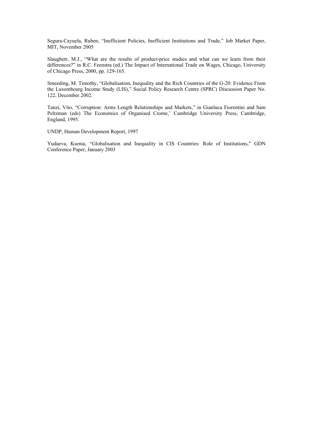Segura-Cayuela, Ruben, "Inefficient Policies, Inefficient Institutions and Trade," Job Market Paper, MIT, November 2005

Slaughetr, M.J., "What are the results of product-price studies and what can we learn from their differences?" in R.C. Feenstra (ed.) The Impact of International Trade on Wages, Chicago, University of Chicago Press, 2000, pp. 129-165.

Smeeding, M. Timothy, "Globalisation, Inequality and the Rich Countries of the G-20: Evidence From the Luxembourg Income Study (LIS)," Social Policy Research Centre (SPRC) Discussion Paper No. 122, December 2002.

Tanzi, Vito, "Corruption: Arms Length Relationships and Markets," in Gianluca Fiorentini and Sam Peltzman (eds) The Economics of Organised Crome,' Cambridge University Press, Cambridge, England, 1995.

UNDP, Human Development Report, 1997

Yudaeva, Ksenia, "Globalisation and Inequality in CIS Countries: Role of Institutions," GDN Conference Paper, January 2003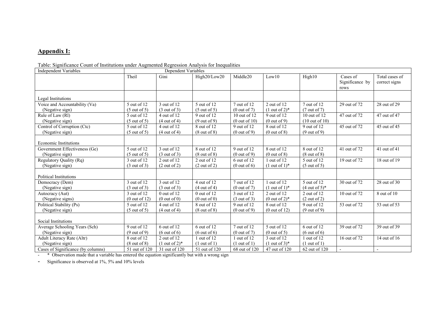## **Appendix I:**

#### Table: Significance Count of Institutions under Augmented Regression Analysis for Inequalities

| <b>Independent Variables</b>       | Dependent Variables      |                               |                         |                          |                               |                           |                                     |                                 |  |
|------------------------------------|--------------------------|-------------------------------|-------------------------|--------------------------|-------------------------------|---------------------------|-------------------------------------|---------------------------------|--|
|                                    | Theil                    | Gini                          | High20/Low20            | Middle20                 | Low10                         | High10                    | Cases of<br>Significance by<br>rows | Total cases of<br>correct signs |  |
| Legal Institutions                 |                          |                               |                         |                          |                               |                           |                                     |                                 |  |
| Voice and Accountability (Va)      | 5 out of 12              | 3 out of 12                   | 5 out of 12             | 7 out of 12              | $2$ out of 12                 | 7 out of 12               | 29 out of 72                        | 28 out of 29                    |  |
| (Negative sign)                    | (5 out of 5)             | $(3 \text{ out of } 3)$       | $(5 \text{ out of } 5)$ | (0 out of 7)             | $(1$ out of $2)$ <sup>*</sup> | $(7 \text{ out of } 7)$   |                                     |                                 |  |
| Rule of Law (Rl)                   | 5 out of 12              | 4 out of 12                   | 9 out of 12             | 10 out of 12             | 9 out of 12                   | 10 out of 12              | 47 out of 72                        | 47 out of 47                    |  |
| (Negative sign)                    | (5 out of 5)             | $(4 \text{ out of } 4)$       | $(9$ out of 9)          | $(0 \text{ out of } 10)$ | (0 out of 9)                  | $(10 \text{ out of } 10)$ |                                     |                                 |  |
| Control of Corruption (Ctc)        | 5 out of 12              | 4 out of 12                   | 8 out of 12             | 9 out of 12              | 8 out of 12                   | 9 out of 12               | 45 out of 72                        | 45 out of 45                    |  |
| (Negative sign)                    | (5 out of 5)             | $(4 \text{ out of } 4)$       | $(8 \text{ out of } 8)$ | (0 out of 9)             | $(0 \text{ out of } 8)$       | (9 out of 9)              |                                     |                                 |  |
| <b>Economic Institutions</b>       |                          |                               |                         |                          |                               |                           |                                     |                                 |  |
| Government Effectiveness (Ge)      | $\overline{5}$ out of 12 | 3 out of 12                   | 8 out of 12             | 9 out of 12              | 8 out of 12                   | 8 out of 12               | 41 out of 72                        | 41 out of 41                    |  |
| (Negative sign)                    | (5 out of 5)             | $(3 \text{ out of } 3)$       | $(8$ out of $8)$        | (0 out of 9)             | (0 out of 8)                  | $(8 \text{ out of } 8)$   |                                     |                                 |  |
| Regulatory Quality (Rq)            | 3 out of 12              | $2$ out of 12                 | $2$ out of 12           | 6 out of 12              | $1$ out of $12$               | 5 out of 12               | 19 out of 72                        | 18 out of 19                    |  |
| (Negative sign)                    | (3 out of 3)             | (2 out of 2)                  | (2 out of 2)            | $(0$ out of 6)           | $(1$ out of $1)$ <sup>*</sup> | $(5 \text{ out of } 5)$   |                                     |                                 |  |
|                                    |                          |                               |                         |                          |                               |                           |                                     |                                 |  |
| <b>Political Institutions</b>      |                          |                               |                         |                          |                               |                           |                                     |                                 |  |
| Democracy (Dem)                    | 3 out of 12              | 3 out of 12                   | $4$ out of 12           | 7 out of 12              | out of $12$                   | 5 out of 12               | 30 out of 72                        | 28 out of 30                    |  |
| (Negative sign)                    | (3 out of 3)             | (3 out of 3)                  | (4 out of 4)            | $(0 \text{ out of } 7)$  | $(1$ out of $1)$ <sup>*</sup> | $(4 \text{ out of } 5)^*$ |                                     |                                 |  |
| Autocracy (Aut)                    | 3 out of 12              | $0$ out of 12                 | $0$ out of 12           | 3 out of 12              | $2$ out of 12                 | $2$ out of 12             | 10 out of 72                        | 8 out of 10                     |  |
| (Negative signs)                   | $(0$ out of 12)          | $(0$ out of $0)$              | $(0$ out of $0)$        | (3 out of 3)             | $(0$ out of $2)$ <sup>*</sup> | (2 out of 2)              |                                     |                                 |  |
| Political Stability (Ps)           | 5 out of 12              | 4 out of 12                   | 8 out of 12             | 9 out of 12              | 8 out of 12                   | 9 out of 12               | 53 out of 72                        | 53 out of 53                    |  |
| (Negative sign)                    | $(5 \text{ out of } 5)$  | $(4 \text{ out of } 4)$       | $(8 \text{ out of } 8)$ | (0 out of 9)             | (0 out of 12)                 | (9 out of 9)              |                                     |                                 |  |
| Social Institutions                |                          |                               |                         |                          |                               |                           |                                     |                                 |  |
| Average Schooling Years (Sch)      | 9 out of 12              | $6$ out of 12                 | $6$ out of 12           | 7 out of 12              | 5 out of 12                   | $6$ out of 12             | 39 out of 72                        | 39 out of 39                    |  |
| (Negative sign)                    | (9 out of 9)             | $(6 \text{ out of } 6)$       | $(6 \text{ out of } 6)$ | $(0$ out of $7)$         | (0 out of 5)                  | $(6 \text{ out of } 6)$   |                                     |                                 |  |
| Adult Literacy Rate (Altr)         | 8 out of 12              | $2$ out of 12                 | 1 out of 12             | $1$ out of $12$          | 3 out of 12                   | 1 out of 12               | 16 out of 72                        | 14 out of 16                    |  |
| (Negative sign)                    | $(8$ out of $8)$         | $(1$ out of $2)$ <sup>*</sup> | $(1$ out of 1)          | $(1$ out of 1)           | $(1$ out of 3)*               | $(1$ out of 1)            |                                     |                                 |  |
| Cases of Significance (by columns) | 51 out of 120            | 31 out of 120                 | 51 out of 120           | 68 out of 120            | 47 out of 120                 | 62 out of 120             |                                     |                                 |  |

- \* Observation made that a variable has entered the equation significantly but with a wrong sign

- Significance is observed at 1%, 5% and 10% levels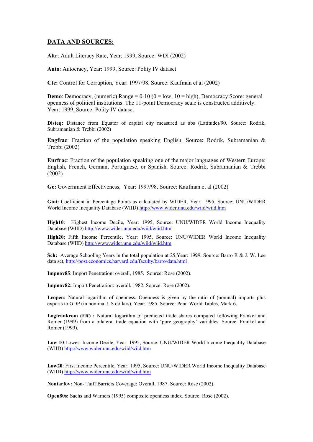## **DATA AND SOURCES:**

**Altr**: Adult Literacy Rate, Year: 1999, Source: WDI (2002)

**Auto**: Autocracy, Year: 1999, Source: Polity IV dataset

**Ctc:** Control for Corruption, Year: 1997/98. Source: Kaufman et al (2002)

**Demo**: Democracy, (numeric) Range =  $0-10$  ( $0 = \text{low}$ ;  $10 = \text{high}$ ), Democracy Score: general openness of political institutions. The 11-point Democracy scale is constructed additively. Year: 1999, Source: Polity IV dataset

**Disteq:** Distance from Equator of capital city measured as abs (Latitude)/90. Source: Rodrik, Subramanian & Trebbi (2002)

**Engfrac**: Fraction of the population speaking English. Source**:** Rodrik, Subramanian & Trebbi (2002)

**Eurfrac**: Fraction of the population speaking one of the major languages of Western Europe: English, French, German, Portuguese, or Spanish. Source: Rodrik, Subramanian & Trebbi (2002)

**Ge:** Government Effectiveness, Year: 1997/98. Source: Kaufman et al (2002)

**Gini:** Coefficient in Percentage Points as calculated by WIDER. Year: 1995, Source: UNU/WIDER World Income Inequality Database (WIID) http://www.wider.unu.edu/wiid/wiid.htm

**High10**: Highest Income Decile, Year: 1995, Source: UNU/WIDER World Income Inequality Database (WIID) http://www.wider.unu.edu/wiid/wiid.htm

**High20**: Fifth Income Percentile, Year: 1995, Source: UNU/WIDER World Income Inequality Database (WIID) http://www.wider.unu.edu/wiid/wiid.htm

**Sch:** Average Schooling Years in the total population at 25,Year: 1999. Source: Barro R & J. W. Lee data set, http://post.economics.harvard.edu/faculty/barro/data.html

**Impnov85**: Import Penetration: overall, 1985. Source: Rose (2002).

**Impnov82:** Import Penetration: overall, 1982. Source: Rose (2002).

**Lcopen:** Natural logarithm of openness. Openness is given by the ratio of (nomnal) imports plus exports to GDP (in nominal US dollars), Year: 1985. Source: Penn World Tables, Mark 6.

Logfrankrom (FR) : Natural logarithm of predicted trade shares computed following Frankel and Romer (1999) from a bilateral trade equation with 'pure geography' variables. Source: Frankel and Romer (1999).

**Low 10**:Lowest Income Decile, Year: 1995, Source: UNU/WIDER World Income Inequality Database (WIID) http://www.wider.unu.edu/wiid/wiid.htm

**Low20**: First Income Percentile, Year: 1995, Source: UNU/WIDER World Income Inequality Database (WIID) http://www.wider.unu.edu/wiid/wiid.htm

**Nontarfov:** Non- Taiff Barriers Coverage: Overall, 1987. Source: Rose (2002).

**Open80s:** Sachs and Warners (1995) composite openness index. Source: Rose (2002).